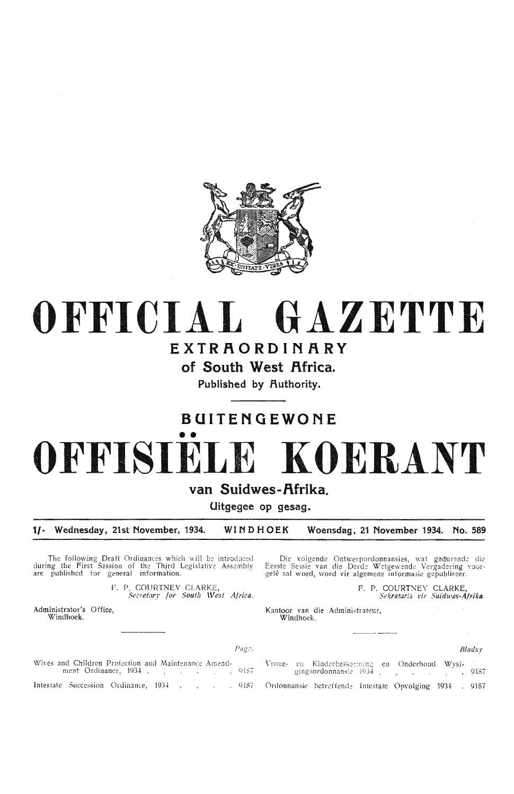

# OFFICIAL GAZETTE

# EXTRAORDINARY

of South West Africa.

Published by Authority.

# BUITENGEWONE OFFISIE KOERANT

#### van Suidwes-Afrika.

Uitgegee op gesag.

Wednesday, 21st November, 1934. WINDHOEK Woensdag, 21 November 1934.  $1/-$ No. 589

Page.

The following Draft Ordinances which will be introduced<br>during the First Session of the Third Legislative Assembly<br>are published for general information.

F. P. COURTNEY CLARKE, Secretary for South West Africa.

Administrator's Office. Windhoek.

Die volgende Ontwerpordonnansies, wat gedurende die Eerste Sessie van die Derde Wetgewende Vergadering voorgelê sal word, word vir algemene informasie gepubliseer.

F. P. COURTNEY CLARKE,<br>Sekretaris vir Suidwes-Afrika.

Kantoor van die Administrateur, Windhoek.

Bladsv

Wives and Children Protection and Maintenance Amendment Ordinance, 1934 . . . . . . . . . . . . 9187 Intestate Succession Ordinance, 1934  $. 9187$ 

Vroue- en Kinderbeskerming en Onderhoud Wysigingsordonnansie 1934  $.9187$ Ordonnansie betreffende Intestate Opvolging 1934 . 9187